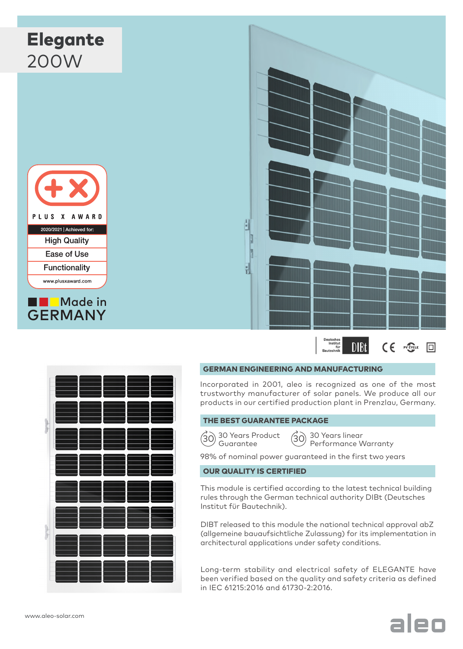



### GERMAN ENGINEERING AND MANUFACTURING

Incorporated in 2001, aleo is recognized as one of the most trustworthy manufacturer of solar panels. We produce all our products in our certified production plant in Prenzlau, Germany.

## THE BEST GUARANTEE PACKAGE



 $\left( \begin{matrix} 30 \end{matrix} \right)$  30 Years Product  $\left( \begin{matrix} 30 \end{matrix} \right)$ Guarantee

30 Years linear Performance Warranty

98% of nominal power guaranteed in the first two years

## OUR QUALITY IS CERTIFIED

This module is certified according to the latest technical building rules through the German technical authority DIBt (Deutsches Institut für Bautechnik).

DIBT released to this module the national technical approval abZ (allgemeine bauaufsichtliche Zulassung) for its implementation in architectural applications under safety conditions.

Long-term stability and electrical safety of ELEGANTE have been verified based on the quality and safety criteria as defined in IEC 61215:2016 and 61730-2:2016.